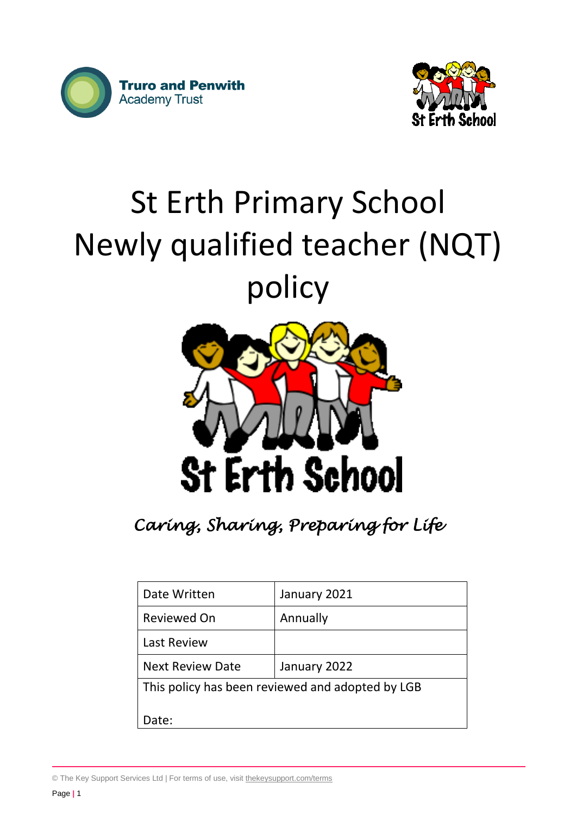



# St Erth Primary School Newly qualified teacher (NQT) policy



*Caring, Sharing, Preparing for Life* 

| Date Written                                     | January 2021 |  |
|--------------------------------------------------|--------------|--|
| <b>Reviewed On</b>                               | Annually     |  |
| <b>Last Review</b>                               |              |  |
| <b>Next Review Date</b>                          | January 2022 |  |
| This policy has been reviewed and adopted by LGB |              |  |
| Date:                                            |              |  |

© The Key Support Services Ltd | For terms of use, visit [thekeysupport.com/terms](https://thekeysupport.com/terms-of-use)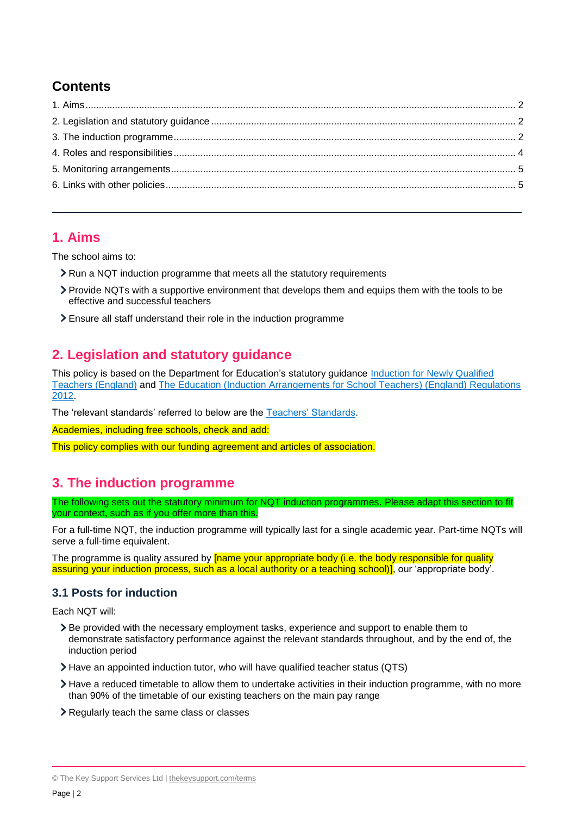# **Contents**

## <span id="page-1-0"></span>**1. Aims**

The school aims to:

- If Run a NQT induction programme that meets all the statutory requirements
- Provide NQTs with a supportive environment that develops them and equips them with the tools to be effective and successful teachers
- Ensure all staff understand their role in the induction programme

# <span id="page-1-1"></span>**2. Legislation and statutory guidance**

This policy is based on the Department for Education's statutory guidance [Induction for Newly Qualified](https://www.gov.uk/government/publications/induction-for-newly-qualified-teachers-nqts)  [Teachers \(England\)](https://www.gov.uk/government/publications/induction-for-newly-qualified-teachers-nqts) and [The Education \(Induction Arrangements for School Teachers\) \(England\) Regulations](http://www.legislation.gov.uk/uksi/2012/1115/contents/made)  [2012.](http://www.legislation.gov.uk/uksi/2012/1115/contents/made)

The 'relevant standards' referred to below are the [Teachers' Standards.](https://www.gov.uk/government/publications/teachers-standards)

Academies, including free schools, check and add:

This policy complies with our funding agreement and articles of association.

# <span id="page-1-2"></span>**3. The induction programme**

The following sets out the statutory minimum for NQT induction programmes. Please adapt this section to fit your context, such as if you offer more than this.

For a full-time NQT, the induction programme will typically last for a single academic year. Part-time NQTs will serve a full-time equivalent.

The programme is quality assured by **[name your appropriate body (i.e. the body responsible for quality** assuring your induction process, such as a local authority or a teaching school)], our 'appropriate body'.

## **3.1 Posts for induction**

Each NQT will:

- Be provided with the necessary employment tasks, experience and support to enable them to demonstrate satisfactory performance against the relevant standards throughout, and by the end of, the induction period
- Have an appointed induction tutor, who will have qualified teacher status (QTS)
- Have a reduced timetable to allow them to undertake activities in their induction programme, with no more than 90% of the timetable of our existing teachers on the main pay range
- Regularly teach the same class or classes

<sup>©</sup> The Key Support Services Ltd | [thekeysupport.com/terms](https://thekeysupport.com/terms-of-use)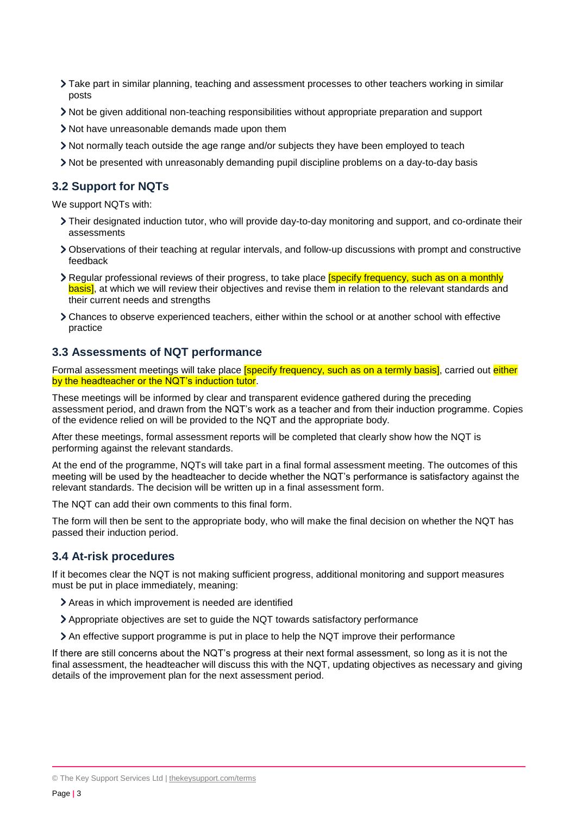- Take part in similar planning, teaching and assessment processes to other teachers working in similar posts
- Not be given additional non-teaching responsibilities without appropriate preparation and support
- Not have unreasonable demands made upon them
- Not normally teach outside the age range and/or subjects they have been employed to teach
- Not be presented with unreasonably demanding pupil discipline problems on a day-to-day basis

#### **3.2 Support for NQTs**

We support NQTs with:

- Their designated induction tutor, who will provide day-to-day monitoring and support, and co-ordinate their assessments
- Observations of their teaching at regular intervals, and follow-up discussions with prompt and constructive feedback
- If Regular professional reviews of their progress, to take place *specify frequency*, such as on a monthly basis], at which we will review their objectives and revise them in relation to the relevant standards and their current needs and strengths
- Chances to observe experienced teachers, either within the school or at another school with effective practice

#### **3.3 Assessments of NQT performance**

Formal assessment meetings will take place **[specify frequency, such as on a termly basis]**, carried out *either* by the headteacher or the NQT's induction tutor.

These meetings will be informed by clear and transparent evidence gathered during the preceding assessment period, and drawn from the NQT's work as a teacher and from their induction programme. Copies of the evidence relied on will be provided to the NQT and the appropriate body.

After these meetings, formal assessment reports will be completed that clearly show how the NQT is performing against the relevant standards.

At the end of the programme, NQTs will take part in a final formal assessment meeting. The outcomes of this meeting will be used by the headteacher to decide whether the NQT's performance is satisfactory against the relevant standards. The decision will be written up in a final assessment form.

The NQT can add their own comments to this final form.

The form will then be sent to the appropriate body, who will make the final decision on whether the NQT has passed their induction period.

#### **3.4 At-risk procedures**

If it becomes clear the NQT is not making sufficient progress, additional monitoring and support measures must be put in place immediately, meaning:

- Areas in which improvement is needed are identified
- Appropriate objectives are set to guide the NQT towards satisfactory performance
- An effective support programme is put in place to help the NQT improve their performance

If there are still concerns about the NQT's progress at their next formal assessment, so long as it is not the final assessment, the headteacher will discuss this with the NQT, updating objectives as necessary and giving details of the improvement plan for the next assessment period.

<sup>©</sup> The Key Support Services Ltd | [thekeysupport.com/terms](https://thekeysupport.com/terms-of-use)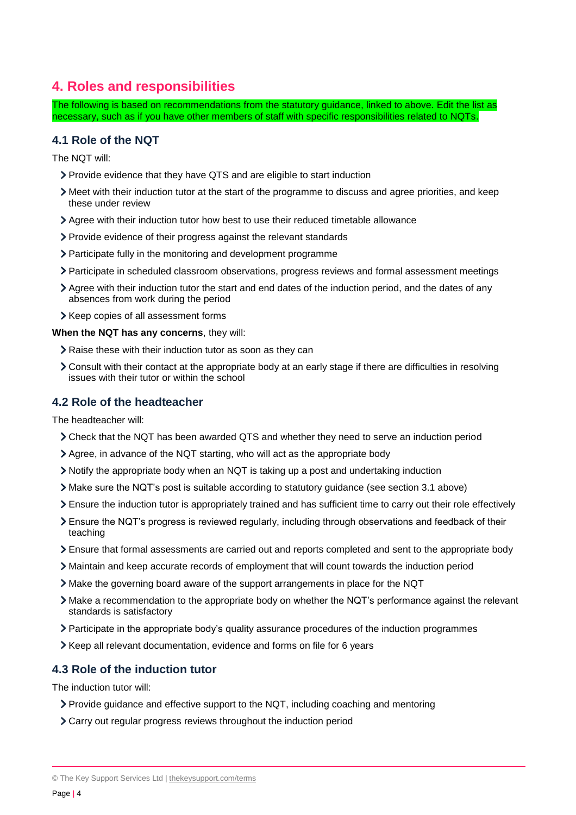# <span id="page-3-0"></span>**4. Roles and responsibilities**

The following is based on recommendations from the statutory guidance, linked to above. Edit the list as necessary, such as if you have other members of staff with specific responsibilities related to NQTs.

## **4.1 Role of the NQT**

The NQT will:

- Provide evidence that they have QTS and are eligible to start induction
- Meet with their induction tutor at the start of the programme to discuss and agree priorities, and keep these under review
- Agree with their induction tutor how best to use their reduced timetable allowance
- Provide evidence of their progress against the relevant standards
- Participate fully in the monitoring and development programme
- Participate in scheduled classroom observations, progress reviews and formal assessment meetings
- Agree with their induction tutor the start and end dates of the induction period, and the dates of any absences from work during the period
- > Keep copies of all assessment forms

#### **When the NQT has any concerns**, they will:

- Raise these with their induction tutor as soon as they can
- Consult with their contact at the appropriate body at an early stage if there are difficulties in resolving issues with their tutor or within the school

#### **4.2 Role of the headteacher**

The headteacher will:

- Check that the NQT has been awarded QTS and whether they need to serve an induction period
- Agree, in advance of the NQT starting, who will act as the appropriate body
- Notify the appropriate body when an NQT is taking up a post and undertaking induction
- Make sure the NQT's post is suitable according to statutory guidance (see section 3.1 above)
- Ensure the induction tutor is appropriately trained and has sufficient time to carry out their role effectively
- Ensure the NQT's progress is reviewed regularly, including through observations and feedback of their teaching
- Ensure that formal assessments are carried out and reports completed and sent to the appropriate body
- Maintain and keep accurate records of employment that will count towards the induction period
- Make the governing board aware of the support arrangements in place for the NQT
- Make a recommendation to the appropriate body on whether the NQT's performance against the relevant standards is satisfactory
- Participate in the appropriate body's quality assurance procedures of the induction programmes
- Keep all relevant documentation, evidence and forms on file for 6 years

## **4.3 Role of the induction tutor**

The induction tutor will:

- Provide guidance and effective support to the NQT, including coaching and mentoring
- Carry out regular progress reviews throughout the induction period

© The Key Support Services Ltd | [thekeysupport.com/terms](https://thekeysupport.com/terms-of-use)